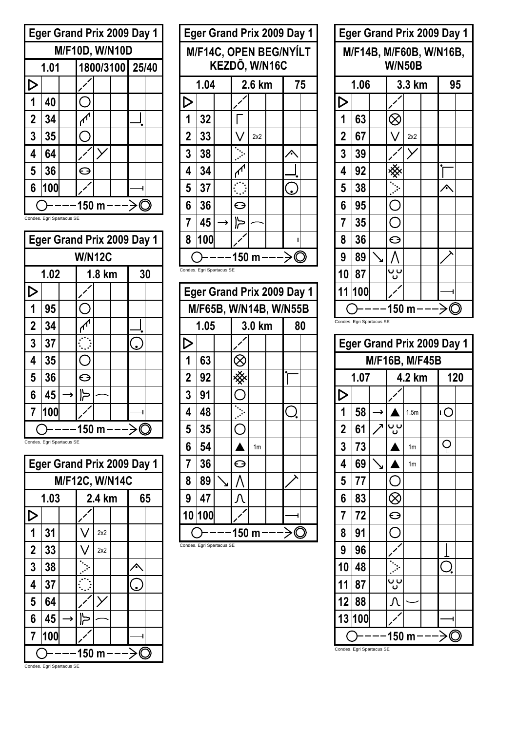

**Eger Grand Prix 2009 Day 1 W/N12C 1.02 1.8 km 30**  $\triangleright$  $\overline{\phantom{a}}$  $\overline{O}$ **1 95**  $\overline{\mathcal{M}}$ **2 34**  $3 \mid 37$ ڡ  $\overline{C}$ **4 35 5 36**  $\Theta$ **6 45** ⊲∥ → **7 100**  $O---150 m---\frac{1}{2}$ 

Condes. Egri Spartacus SE

|                               | <b>Eger Grand Prix 2009 Day 1</b> |  |  |     |  |  |  |  |  |  |  |  |
|-------------------------------|-----------------------------------|--|--|-----|--|--|--|--|--|--|--|--|
|                               | <b>M/F12C, W/N14C</b>             |  |  |     |  |  |  |  |  |  |  |  |
|                               | 1.03<br>2.4 km<br>65              |  |  |     |  |  |  |  |  |  |  |  |
| D                             |                                   |  |  |     |  |  |  |  |  |  |  |  |
| 1                             | 31                                |  |  | 2x2 |  |  |  |  |  |  |  |  |
| $\overline{2}$                | 33                                |  |  | 2x2 |  |  |  |  |  |  |  |  |
| 3                             | 38                                |  |  |     |  |  |  |  |  |  |  |  |
| 4                             | 37                                |  |  |     |  |  |  |  |  |  |  |  |
| 5                             | 64                                |  |  |     |  |  |  |  |  |  |  |  |
| 6<br>45<br>╠<br>$\rightarrow$ |                                   |  |  |     |  |  |  |  |  |  |  |  |
| 100<br>7                      |                                   |  |  |     |  |  |  |  |  |  |  |  |
| Condon                        | 150 m                             |  |  |     |  |  |  |  |  |  |  |  |

|                               | <b>Eger Grand Prix 2009 Day 1</b>       |  |   |  |  |  |  |  |  |  |  |  |
|-------------------------------|-----------------------------------------|--|---|--|--|--|--|--|--|--|--|--|
|                               | M/F14C, OPEN BEG/NYÍLT<br>KEZDÕ, W/N16C |  |   |  |  |  |  |  |  |  |  |  |
| 1.04<br>2.6 km<br>75          |                                         |  |   |  |  |  |  |  |  |  |  |  |
| ▷                             |                                         |  |   |  |  |  |  |  |  |  |  |  |
| $\mathbf 1$<br>32             |                                         |  |   |  |  |  |  |  |  |  |  |  |
| $\boldsymbol{2}$<br>33<br>2x2 |                                         |  |   |  |  |  |  |  |  |  |  |  |
| $\overline{3}$                | 38                                      |  |   |  |  |  |  |  |  |  |  |  |
| 4                             | 34                                      |  |   |  |  |  |  |  |  |  |  |  |
| 5                             | 37                                      |  |   |  |  |  |  |  |  |  |  |  |
| $6\phantom{a}$                | 36                                      |  | ⊖ |  |  |  |  |  |  |  |  |  |
| $\overline{7}$<br>45<br>广     |                                         |  |   |  |  |  |  |  |  |  |  |  |
| 8<br>100                      |                                         |  |   |  |  |  |  |  |  |  |  |  |
| 150 m                         |                                         |  |   |  |  |  |  |  |  |  |  |  |
|                               | Condes. Egri Spartacus SE               |  |   |  |  |  |  |  |  |  |  |  |

|                         | <b>Eger Grand Prix 2009 Day 1</b> |  |       |                |  |    |  |  |  |  |  |
|-------------------------|-----------------------------------|--|-------|----------------|--|----|--|--|--|--|--|
| M/F65B, W/N14B, W/N55B  |                                   |  |       |                |  |    |  |  |  |  |  |
|                         | 1.05                              |  |       | 3.0 km         |  | 80 |  |  |  |  |  |
| D                       |                                   |  |       |                |  |    |  |  |  |  |  |
| 1                       | 63                                |  |       |                |  |    |  |  |  |  |  |
| $\overline{2}$          | 92                                |  |       |                |  |    |  |  |  |  |  |
| $\overline{3}$          | 91                                |  |       |                |  |    |  |  |  |  |  |
| $\overline{\mathbf{4}}$ | 48                                |  |       |                |  |    |  |  |  |  |  |
| 5                       | 35                                |  |       |                |  |    |  |  |  |  |  |
| 6                       | 54                                |  |       | 1 <sub>m</sub> |  |    |  |  |  |  |  |
| $\overline{7}$          | 36                                |  | ⊖     |                |  |    |  |  |  |  |  |
| 8                       | 89                                |  |       |                |  |    |  |  |  |  |  |
| 9                       | 47                                |  |       |                |  |    |  |  |  |  |  |
| 100<br>10               |                                   |  |       |                |  |    |  |  |  |  |  |
|                         | Condes. Egri Spartacus SE         |  | 150 m |                |  |    |  |  |  |  |  |

|                             | <b>Eger Grand Prix 2009 Day 1</b>        |  |       |  |  |  |  |  |  |  |  |
|-----------------------------|------------------------------------------|--|-------|--|--|--|--|--|--|--|--|
|                             | M/F14B, M/F60B, W/N16B,<br><b>W/N50B</b> |  |       |  |  |  |  |  |  |  |  |
|                             | 1.06<br>3.3 km<br>95                     |  |       |  |  |  |  |  |  |  |  |
| $\triangleright$            |                                          |  |       |  |  |  |  |  |  |  |  |
| 1                           | 63                                       |  |       |  |  |  |  |  |  |  |  |
| $\overline{2}$<br>67<br>2x2 |                                          |  |       |  |  |  |  |  |  |  |  |
| 3                           | 39                                       |  |       |  |  |  |  |  |  |  |  |
| 4                           | 92                                       |  |       |  |  |  |  |  |  |  |  |
| 5                           | 38                                       |  |       |  |  |  |  |  |  |  |  |
| 6                           | 95                                       |  |       |  |  |  |  |  |  |  |  |
| $\overline{7}$              | 35                                       |  | C .   |  |  |  |  |  |  |  |  |
| 8                           | 36                                       |  | ⊖     |  |  |  |  |  |  |  |  |
| 9<br>89                     |                                          |  |       |  |  |  |  |  |  |  |  |
| ပ၂ပ<br>10<br>87             |                                          |  |       |  |  |  |  |  |  |  |  |
| 11                          | 100                                      |  |       |  |  |  |  |  |  |  |  |
|                             |                                          |  | 150 m |  |  |  |  |  |  |  |  |

Condes. Egri Spartacus SE

|                           | <b>Eger Grand Prix 2009 Day 1</b> |   |          |                  |  |    |     |  |  |  |  |  |
|---------------------------|-----------------------------------|---|----------|------------------|--|----|-----|--|--|--|--|--|
|                           | M/F16B, M/F45B                    |   |          |                  |  |    |     |  |  |  |  |  |
|                           | 1.07                              |   |          | 4.2 km           |  |    | 120 |  |  |  |  |  |
| $\triangleright$          |                                   |   |          |                  |  |    |     |  |  |  |  |  |
| 1                         | 58                                | → |          | 1.5 <sub>m</sub> |  | LО |     |  |  |  |  |  |
| $\overline{\mathbf{2}}$   | 61                                |   | ပ၂ပ      |                  |  |    |     |  |  |  |  |  |
| $\overline{\mathbf{3}}$   | 73                                |   |          | 1 <sub>m</sub>   |  | Ļ  |     |  |  |  |  |  |
| 4                         | 69                                |   |          | 1 <sub>m</sub>   |  |    |     |  |  |  |  |  |
| 5                         | 77                                |   |          |                  |  |    |     |  |  |  |  |  |
| 6                         | 83                                |   |          |                  |  |    |     |  |  |  |  |  |
| $\overline{7}$            | 72                                |   | $\Theta$ |                  |  |    |     |  |  |  |  |  |
| 8                         | 91                                |   |          |                  |  |    |     |  |  |  |  |  |
| 9                         | 96                                |   |          |                  |  |    |     |  |  |  |  |  |
| 10                        | 48                                |   |          |                  |  |    |     |  |  |  |  |  |
| 11                        | 87                                |   | ပ ပ      |                  |  |    |     |  |  |  |  |  |
| 12                        | 88                                |   |          |                  |  |    |     |  |  |  |  |  |
| 13                        | 100                               |   |          |                  |  |    |     |  |  |  |  |  |
| Condes. Egri Spartacus SE |                                   |   | 150 m    |                  |  |    |     |  |  |  |  |  |

Condes. Egri Spartacus SE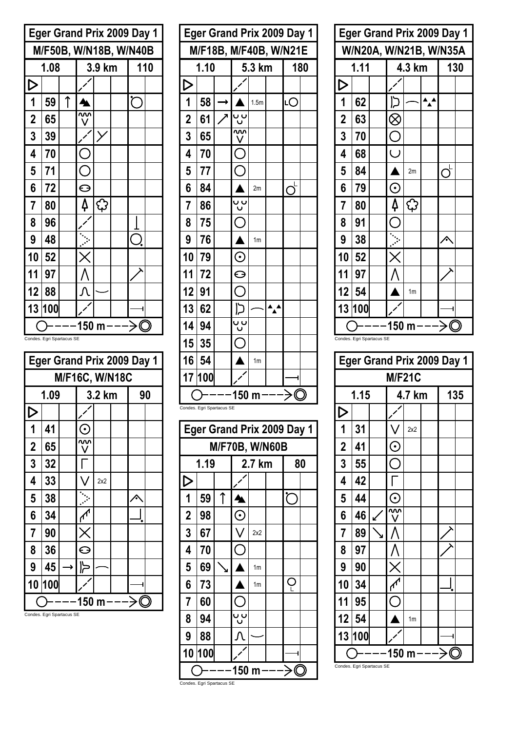|                  | <b>Eger Grand Prix 2009 Day 1</b> |   |       |        |  |     |  |  |  |  |  |
|------------------|-----------------------------------|---|-------|--------|--|-----|--|--|--|--|--|
|                  | M/F50B, W/N18B, W/N40B            |   |       |        |  |     |  |  |  |  |  |
|                  | 1.08                              |   |       | 3.9 km |  | 110 |  |  |  |  |  |
| $\triangleright$ |                                   |   |       |        |  |     |  |  |  |  |  |
| 1                | 59                                | ↑ |       |        |  |     |  |  |  |  |  |
| $\overline{2}$   | 65                                |   |       |        |  |     |  |  |  |  |  |
| 3<br>39          |                                   |   |       |        |  |     |  |  |  |  |  |
| 4                | 70                                |   |       |        |  |     |  |  |  |  |  |
| 5                | 71                                |   |       |        |  |     |  |  |  |  |  |
| 6                | 72                                |   | ⊖     |        |  |     |  |  |  |  |  |
| $\overline{7}$   | 80                                |   | 4     | ු      |  |     |  |  |  |  |  |
| 8                | 96                                |   |       |        |  |     |  |  |  |  |  |
| 9                | 48                                |   |       |        |  |     |  |  |  |  |  |
| 10               | 52                                |   |       |        |  |     |  |  |  |  |  |
| 11               | 97                                |   |       |        |  |     |  |  |  |  |  |
| 12               | 88                                |   |       |        |  |     |  |  |  |  |  |
|                  | 13 100                            |   |       |        |  |     |  |  |  |  |  |
|                  |                                   |   | 150 m |        |  |     |  |  |  |  |  |

Condes. Egri Spartacus SE

|                | <b>Eger Grand Prix 2009 Day 1</b> |  |                        |        |  |    |  |  |  |  |  |
|----------------|-----------------------------------|--|------------------------|--------|--|----|--|--|--|--|--|
|                | M/F16C, W/N18C                    |  |                        |        |  |    |  |  |  |  |  |
|                | 1.09                              |  |                        | 3.2 km |  | 90 |  |  |  |  |  |
| D              |                                   |  |                        |        |  |    |  |  |  |  |  |
| 1              | 41                                |  | $\left( \cdot \right)$ |        |  |    |  |  |  |  |  |
| $\overline{2}$ | 65                                |  |                        |        |  |    |  |  |  |  |  |
| $\overline{3}$ | 32                                |  |                        |        |  |    |  |  |  |  |  |
| 4              | 33                                |  |                        | 2x2    |  |    |  |  |  |  |  |
| 5              | 38                                |  |                        |        |  |    |  |  |  |  |  |
| 6              | 34                                |  |                        |        |  |    |  |  |  |  |  |
| $\overline{7}$ | 90                                |  |                        |        |  |    |  |  |  |  |  |
| 8              | 36                                |  | e                      |        |  |    |  |  |  |  |  |
| 9              | 45<br>→                           |  |                        |        |  |    |  |  |  |  |  |
| 10             | 100                               |  |                        |        |  |    |  |  |  |  |  |
|                |                                   |  | 150                    | m      |  |    |  |  |  |  |  |

Condes. Egri Spartacus SE

| <b>Eger Grand Prix 2009 Day 1</b> |                           |   |                                   |                  |  |    |     |  |  |  |
|-----------------------------------|---------------------------|---|-----------------------------------|------------------|--|----|-----|--|--|--|
| M/F18B, M/F40B, W/N21E            |                           |   |                                   |                  |  |    |     |  |  |  |
|                                   | 1.10                      |   |                                   | 5.3 km           |  |    | 180 |  |  |  |
| $\triangleright$                  |                           |   |                                   |                  |  |    |     |  |  |  |
| 1                                 | 58                        |   |                                   | 1.5 <sub>m</sub> |  | LС |     |  |  |  |
| $\overline{\mathbf{c}}$           | 61                        |   |                                   |                  |  |    |     |  |  |  |
| 3                                 | 65                        |   |                                   |                  |  |    |     |  |  |  |
| 4                                 | 70                        |   |                                   |                  |  |    |     |  |  |  |
| 5                                 | 77                        |   |                                   |                  |  |    |     |  |  |  |
| 6                                 | 84                        |   |                                   | 2m               |  |    |     |  |  |  |
| 7                                 | 86                        |   | ບປັ                               |                  |  |    |     |  |  |  |
| 8                                 | 75                        |   |                                   |                  |  |    |     |  |  |  |
| 9                                 | 76                        |   |                                   | 1 <sub>m</sub>   |  |    |     |  |  |  |
| 10                                | 79                        |   | $\boldsymbol{\odot}$              |                  |  |    |     |  |  |  |
| 11                                | 72                        |   | $\Theta$                          |                  |  |    |     |  |  |  |
| 12                                | 91                        |   | С                                 |                  |  |    |     |  |  |  |
| 13                                | 62                        |   | כן                                |                  |  |    |     |  |  |  |
| 14                                | 94                        |   |                                   |                  |  |    |     |  |  |  |
| 15                                | 35                        |   |                                   |                  |  |    |     |  |  |  |
| 16                                | 54                        |   |                                   | 1 <sub>m</sub>   |  |    |     |  |  |  |
| 17                                | 100                       |   |                                   |                  |  |    |     |  |  |  |
|                                   |                           |   | 150 m                             |                  |  | K  |     |  |  |  |
|                                   | Condes. Egri Spartacus SE |   |                                   |                  |  |    |     |  |  |  |
|                                   |                           |   | <b>Eger Grand Prix 2009 Day 1</b> |                  |  |    |     |  |  |  |
|                                   |                           |   | <b>M/F70B, W/N60B</b>             |                  |  |    |     |  |  |  |
|                                   | 1.19<br>80<br>2.7 km      |   |                                   |                  |  |    |     |  |  |  |
| D                                 |                           |   |                                   |                  |  |    |     |  |  |  |
| 1                                 | 59                        | ↑ |                                   |                  |  |    |     |  |  |  |
| $\overline{\mathbf{c}}$           | 98                        |   | $\odot$                           |                  |  |    |     |  |  |  |
| 3                                 | 67                        |   |                                   | 2x2              |  |    |     |  |  |  |
| 4                                 | 70                        |   |                                   |                  |  |    |     |  |  |  |
| 5                                 | 69                        |   |                                   | 1 <sub>m</sub>   |  |    |     |  |  |  |
| 6                                 | 73                        |   |                                   | 1m               |  |    |     |  |  |  |
| 7                                 | 60                        |   |                                   |                  |  |    |     |  |  |  |

| <b>Eger Grand Prix 2009 Day 1</b><br>W/N20A, W/N21B, W/N35A<br>4.3 km<br>1.11<br>130<br>$\triangleright$<br>62<br>בו<br>1<br>$\overline{2}$<br>63<br>3<br>70<br>$\overline{C}$<br>4<br>68<br>5<br>84<br>2m<br>6<br>79<br>$\rm{C}$<br>4<br>$\overline{7}$<br>€<br>80<br>8<br>91<br>9<br>38<br>10<br>52<br>11<br>97<br>12<br>54<br>1 <sub>m</sub><br>13<br>100 |       |  |  |  |  |  |  |  |  |  |  |  |
|--------------------------------------------------------------------------------------------------------------------------------------------------------------------------------------------------------------------------------------------------------------------------------------------------------------------------------------------------------------|-------|--|--|--|--|--|--|--|--|--|--|--|
|                                                                                                                                                                                                                                                                                                                                                              |       |  |  |  |  |  |  |  |  |  |  |  |
|                                                                                                                                                                                                                                                                                                                                                              |       |  |  |  |  |  |  |  |  |  |  |  |
|                                                                                                                                                                                                                                                                                                                                                              |       |  |  |  |  |  |  |  |  |  |  |  |
|                                                                                                                                                                                                                                                                                                                                                              |       |  |  |  |  |  |  |  |  |  |  |  |
|                                                                                                                                                                                                                                                                                                                                                              |       |  |  |  |  |  |  |  |  |  |  |  |
|                                                                                                                                                                                                                                                                                                                                                              |       |  |  |  |  |  |  |  |  |  |  |  |
|                                                                                                                                                                                                                                                                                                                                                              |       |  |  |  |  |  |  |  |  |  |  |  |
|                                                                                                                                                                                                                                                                                                                                                              |       |  |  |  |  |  |  |  |  |  |  |  |
|                                                                                                                                                                                                                                                                                                                                                              |       |  |  |  |  |  |  |  |  |  |  |  |
|                                                                                                                                                                                                                                                                                                                                                              |       |  |  |  |  |  |  |  |  |  |  |  |
|                                                                                                                                                                                                                                                                                                                                                              |       |  |  |  |  |  |  |  |  |  |  |  |
|                                                                                                                                                                                                                                                                                                                                                              |       |  |  |  |  |  |  |  |  |  |  |  |
|                                                                                                                                                                                                                                                                                                                                                              |       |  |  |  |  |  |  |  |  |  |  |  |
|                                                                                                                                                                                                                                                                                                                                                              |       |  |  |  |  |  |  |  |  |  |  |  |
|                                                                                                                                                                                                                                                                                                                                                              |       |  |  |  |  |  |  |  |  |  |  |  |
|                                                                                                                                                                                                                                                                                                                                                              |       |  |  |  |  |  |  |  |  |  |  |  |
|                                                                                                                                                                                                                                                                                                                                                              |       |  |  |  |  |  |  |  |  |  |  |  |
|                                                                                                                                                                                                                                                                                                                                                              | 150 m |  |  |  |  |  |  |  |  |  |  |  |

| <b>Eger Grand Prix 2009 Day 1</b> |               |  |                  |                |  |  |     |  |  |  |  |  |
|-----------------------------------|---------------|--|------------------|----------------|--|--|-----|--|--|--|--|--|
|                                   | <b>M/F21C</b> |  |                  |                |  |  |     |  |  |  |  |  |
|                                   | 1.15          |  |                  | 4.7 km         |  |  | 135 |  |  |  |  |  |
| $\triangleright$                  |               |  |                  |                |  |  |     |  |  |  |  |  |
| 1                                 | 31            |  |                  | 2x2            |  |  |     |  |  |  |  |  |
| $\mathbf 2$                       | 41            |  | $\mathbf \Theta$ |                |  |  |     |  |  |  |  |  |
| 3                                 | 55            |  |                  |                |  |  |     |  |  |  |  |  |
| 4                                 | 42            |  |                  |                |  |  |     |  |  |  |  |  |
| 5                                 | 44            |  | $\mathbf C$      |                |  |  |     |  |  |  |  |  |
| 6                                 | 46            |  |                  |                |  |  |     |  |  |  |  |  |
| 7                                 | 89            |  |                  |                |  |  |     |  |  |  |  |  |
| 8                                 | 97            |  |                  |                |  |  |     |  |  |  |  |  |
| 9                                 | 90            |  |                  |                |  |  |     |  |  |  |  |  |
| 10                                | 34            |  |                  |                |  |  |     |  |  |  |  |  |
| 11                                | 95            |  |                  |                |  |  |     |  |  |  |  |  |
| 12                                | 54            |  |                  | 1 <sub>m</sub> |  |  |     |  |  |  |  |  |
| 13<br>100                         |               |  |                  |                |  |  |     |  |  |  |  |  |
| Condes. Egri Spartacus SE         |               |  | ∙150 m           |                |  |  |     |  |  |  |  |  |

 $0$ ----150 m--- $\geq$ 0 Condes. Egri Spartacus SE

**8 94**

 $\overline{\overline{\overline{c}}\overline{\overline{c}}}$ 

 $\overline{\Lambda}$  $\overline{\phantom{a}}$ 

**9 88 10 100**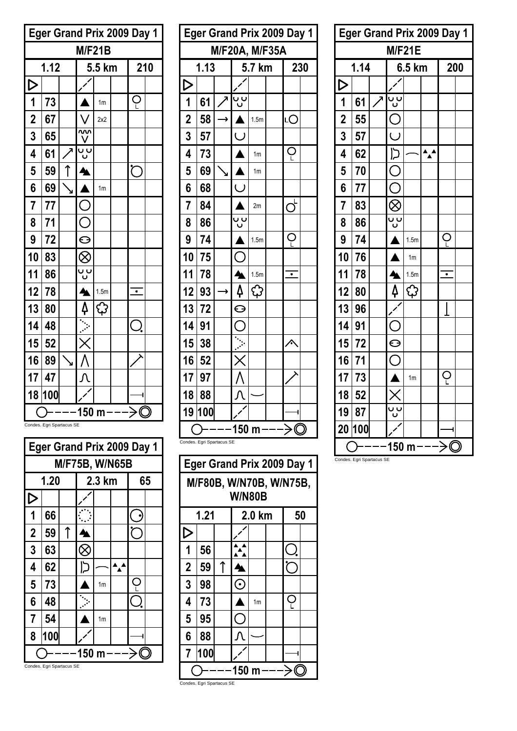|                                    | <b>Eger Grand Prix 2009 Day 1</b> |  |                  |                |  |           |     |  |  |  |  |
|------------------------------------|-----------------------------------|--|------------------|----------------|--|-----------|-----|--|--|--|--|
| <b>M/F21B</b>                      |                                   |  |                  |                |  |           |     |  |  |  |  |
|                                    | 1.12                              |  |                  | 5.5 km         |  |           | 210 |  |  |  |  |
| $\triangleright$                   |                                   |  |                  |                |  |           |     |  |  |  |  |
| $\mathbf 1$                        | 73                                |  |                  | 1 <sub>m</sub> |  | Ç         |     |  |  |  |  |
| $\overline{\overline{\mathbf{2}}}$ | 67                                |  |                  | 2x2            |  |           |     |  |  |  |  |
| 3                                  | 65                                |  |                  |                |  |           |     |  |  |  |  |
| 4                                  | 61                                |  | <u>ပ</u> ုပ      |                |  |           |     |  |  |  |  |
| 5                                  | 59                                |  |                  |                |  | ŕ         |     |  |  |  |  |
| 6                                  | 69                                |  |                  | 1 <sub>m</sub> |  |           |     |  |  |  |  |
| 7                                  | 77                                |  | L                |                |  |           |     |  |  |  |  |
| 8                                  | 71                                |  | $\subset$        |                |  |           |     |  |  |  |  |
| 9                                  | 72                                |  | $\ominus$        |                |  |           |     |  |  |  |  |
| 10                                 | 83                                |  | $\otimes$        |                |  |           |     |  |  |  |  |
| 11                                 | 86                                |  | ບ ບ<br>ບ         |                |  |           |     |  |  |  |  |
| 12                                 | 78                                |  | ஊ                | 1.5m           |  | $\bullet$ |     |  |  |  |  |
| 13                                 | 80                                |  | Ą                | ۞              |  |           |     |  |  |  |  |
| 14                                 | 48                                |  |                  |                |  |           |     |  |  |  |  |
| 15                                 | 52                                |  |                  |                |  |           |     |  |  |  |  |
| 16                                 | 89                                |  |                  |                |  |           |     |  |  |  |  |
| 17                                 | 47                                |  |                  |                |  |           |     |  |  |  |  |
| 18                                 | 100                               |  |                  |                |  |           |     |  |  |  |  |
|                                    |                                   |  | 150 <sub>m</sub> |                |  | > ((      |     |  |  |  |  |

Condes. Egri Spartacus SE

|                | <b>Eger Grand Prix 2009 Day 1</b> |   |    |                |    |  |  |  |  |  |  |
|----------------|-----------------------------------|---|----|----------------|----|--|--|--|--|--|--|
|                | M/F75B, W/N65B                    |   |    |                |    |  |  |  |  |  |  |
|                | 1.20<br>2.3 km<br>65              |   |    |                |    |  |  |  |  |  |  |
|                |                                   |   |    |                |    |  |  |  |  |  |  |
| 1              | 66                                |   |    |                |    |  |  |  |  |  |  |
| $\overline{2}$ | 59                                | ↑ |    |                |    |  |  |  |  |  |  |
| 3              | 63                                |   |    |                |    |  |  |  |  |  |  |
| 4              | 62                                |   | כו |                | ▴ឈ |  |  |  |  |  |  |
| 5              | 73                                |   |    | 1 <sub>m</sub> |    |  |  |  |  |  |  |
| 6              | 48                                |   |    |                |    |  |  |  |  |  |  |
| $\overline{7}$ | 54<br>1 <sub>m</sub>              |   |    |                |    |  |  |  |  |  |  |
| 8              | 100                               |   |    |                |    |  |  |  |  |  |  |
|                | 150 m                             |   |    |                |    |  |  |  |  |  |  |

|                         | <b>Eger Grand Prix 2009 Day 1</b> |   |           |                  |  |                       |  |  |  |  |
|-------------------------|-----------------------------------|---|-----------|------------------|--|-----------------------|--|--|--|--|
| M/F20A, M/F35A          |                                   |   |           |                  |  |                       |  |  |  |  |
|                         | 1.13                              |   |           | 5.7 km           |  | 230                   |  |  |  |  |
| $\triangleright$        |                                   |   |           |                  |  |                       |  |  |  |  |
|                         | 61                                |   | ບ ບ       |                  |  |                       |  |  |  |  |
| $\frac{1}{2}$           | 58                                | ≯ |           | 1.5m             |  | LС                    |  |  |  |  |
| 3                       | 57                                |   | $\bigcup$ |                  |  |                       |  |  |  |  |
| 4                       | 73                                |   |           | 1 <sub>m</sub>   |  | Ç                     |  |  |  |  |
| 5                       | 69                                | Ñ |           | 1 <sub>m</sub>   |  |                       |  |  |  |  |
| 6                       | 68                                |   |           |                  |  |                       |  |  |  |  |
| $\overline{\mathbf{r}}$ | 84                                |   |           | 2m               |  | $\mathsf{C}^\natural$ |  |  |  |  |
| 8                       | 86                                |   | ს<br>ი    |                  |  |                       |  |  |  |  |
| 9                       | 74                                |   |           | 1.5 <sub>m</sub> |  |                       |  |  |  |  |
| 10                      | 75                                |   |           |                  |  |                       |  |  |  |  |
| 11                      | 78                                |   |           | 1.5m             |  | ٠                     |  |  |  |  |
| 12                      | 93                                | → | 4         | දා               |  |                       |  |  |  |  |
| 13                      | 72                                |   | $\Theta$  |                  |  |                       |  |  |  |  |
| 14                      | 91                                |   |           |                  |  |                       |  |  |  |  |
| 15                      | 38                                |   |           |                  |  |                       |  |  |  |  |
| 16                      | 52                                |   |           |                  |  |                       |  |  |  |  |
| 17                      | 97                                |   |           |                  |  |                       |  |  |  |  |
| 18                      | 88                                |   |           |                  |  |                       |  |  |  |  |
| 19                      | 100                               |   |           |                  |  |                       |  |  |  |  |
|                         | Condes. Egri Spartacus SE         |   | 150 m     |                  |  | C                     |  |  |  |  |

| <b>Eger Grand Prix 2009 Day 1</b>        |      |   |         |                |  |    |  |  |  |  |
|------------------------------------------|------|---|---------|----------------|--|----|--|--|--|--|
| M/F80B, W/N70B, W/N75B,<br><b>W/N80B</b> |      |   |         |                |  |    |  |  |  |  |
|                                          | 1.21 |   |         | 2.0 km         |  | 50 |  |  |  |  |
|                                          |      |   |         |                |  |    |  |  |  |  |
| 1                                        | 56   |   |         |                |  |    |  |  |  |  |
| $\overline{2}$                           | 59   | ↑ |         |                |  |    |  |  |  |  |
| 3                                        | 98   |   | $\odot$ |                |  |    |  |  |  |  |
| 4                                        | 73   |   |         | 1 <sub>m</sub> |  | Ċ  |  |  |  |  |
| 5                                        | 95   |   |         |                |  |    |  |  |  |  |
| 6                                        | 88   |   |         |                |  |    |  |  |  |  |
| 7                                        | 100  |   |         |                |  |    |  |  |  |  |
| 150 m                                    |      |   |         |                |  |    |  |  |  |  |
| Condes. Egri Spartacus SE                |      |   |         |                |  |    |  |  |  |  |

| <b>Eger Grand Prix 2009 Day 1</b> |      |  |                         |                  |  |                          |  |  |
|-----------------------------------|------|--|-------------------------|------------------|--|--------------------------|--|--|
| <b>M/F21E</b>                     |      |  |                         |                  |  |                          |  |  |
|                                   | 1.14 |  | 6.5 km                  |                  |  | 200                      |  |  |
| $\frac{D}{1}$                     |      |  |                         |                  |  |                          |  |  |
|                                   | 61   |  | ບ ບ                     |                  |  |                          |  |  |
| $\overline{\mathbf{2}}$           | 55   |  |                         |                  |  |                          |  |  |
| $\overline{\mathbf{3}}$           | 57   |  | $\overline{\mathsf{C}}$ |                  |  |                          |  |  |
| 4                                 | 62   |  | כן                      |                  |  |                          |  |  |
| 5                                 | 70   |  | С                       |                  |  |                          |  |  |
| 6                                 | 77   |  | $\subset$               |                  |  |                          |  |  |
| 7                                 | 83   |  | $\otimes$               |                  |  |                          |  |  |
| 8                                 | 86   |  | —<br>ს<br>ს             |                  |  |                          |  |  |
| 9                                 | 74   |  |                         | 1.5m             |  | Ç                        |  |  |
| 10                                | 76   |  |                         | 1 <sub>m</sub>   |  |                          |  |  |
| 11                                | 78   |  |                         | 1.5 <sub>m</sub> |  | $\overline{\phantom{0}}$ |  |  |
| 12                                | 80   |  | 4                       | දා               |  |                          |  |  |
| 13                                | 96   |  |                         |                  |  |                          |  |  |
| 14                                | 91   |  |                         |                  |  |                          |  |  |
| 15                                | 72   |  | $\Theta$                |                  |  |                          |  |  |
| 16                                | 71   |  |                         |                  |  |                          |  |  |
| 17                                | 73   |  |                         | 1 <sub>m</sub>   |  | Ç                        |  |  |
| 18                                | 52   |  | K                       |                  |  |                          |  |  |
| 19                                | 87   |  | —<br>ს<br>ს             |                  |  |                          |  |  |
| 20                                | 100  |  |                         |                  |  |                          |  |  |
|                                   |      |  | 150 m                   |                  |  | $\bigcirc$               |  |  |

Condes. Egri Spartacus SE